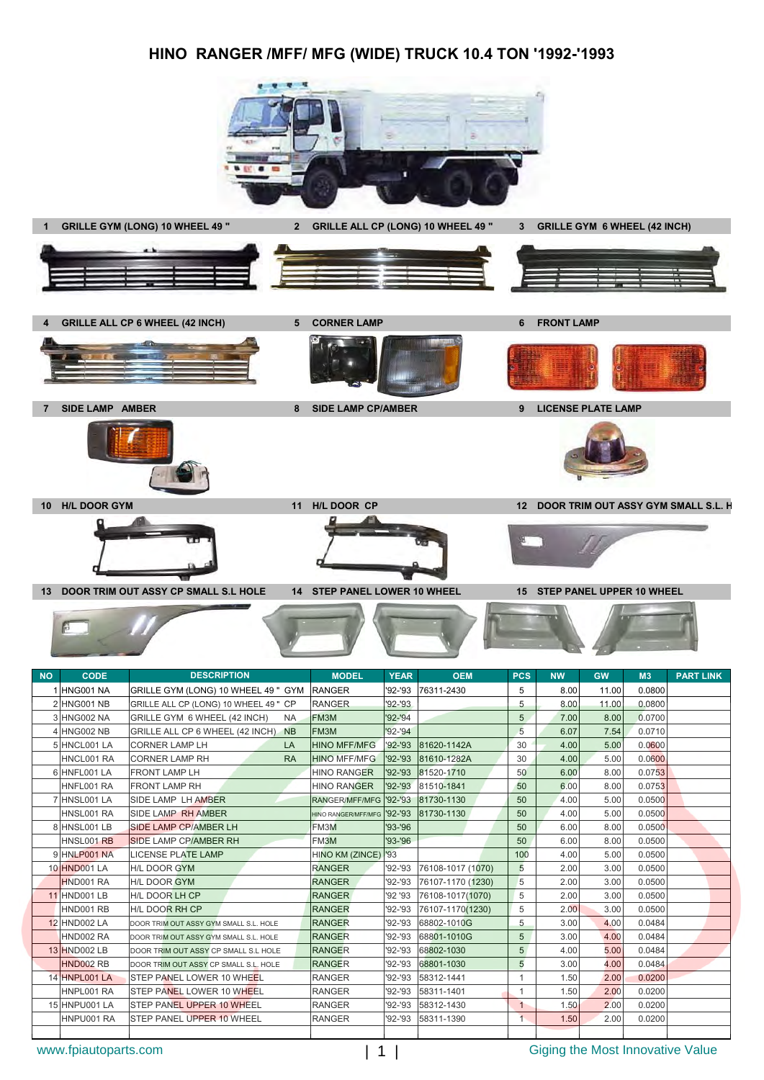### **HINO RANGER /MFF/ MFG (WIDE) TRUCK 10.4 TON '1992-'1993**





4 GRILLE ALL CP 6 WHEEL (42 INCH) 5 CORNER LAMP **6 FRONT LAMP** 



**7 SIDE LAMP AMBER 8 SIDE LAMP CP/AMBER 9 LICENSE PLATE LAMP**

В



**10 H/L DOOR GYM 11 H/L DOOR CP 12 DOOR TRIM OUT ASSY GYM SMALL S.L. H**







| 1 HNG001 NA         | GRILLE GYM (LONG) 10 WHEEL 49 " GYM   RANGER |                                        |             | '92-'93 76311-2430  | 5              | 8.00 | 11.00 | 0.0800 |  |
|---------------------|----------------------------------------------|----------------------------------------|-------------|---------------------|----------------|------|-------|--------|--|
| 2 HNG001 NB         | GRILLE ALL CP (LONG) 10 WHEEL 49 " CP        | <b>RANGER</b>                          | $'92 - '93$ |                     | 5              | 8.00 | 11.00 | 0.0800 |  |
| 3 HNG002 NA         | GRILLE GYM 6 WHEEL (42 INCH)<br><b>NA</b>    | FM3M                                   | $'92 - '94$ |                     | 5              | 7.00 | 8.00  | 0.0700 |  |
| 4 HNG002 NB         | GRILLE ALL CP 6 WHEEL (42 INCH)<br><b>NB</b> | FM3M                                   | '92-'94     |                     | 5              | 6.07 | 7.54  | 0.0710 |  |
| 5 HNCL001 LA        | <b>CORNER LAMP LH</b><br>LA                  | <b>HINO MFF/MFG</b>                    |             | '92-'93 81620-1142A | 30             | 4.00 | 5.00  | 0.0600 |  |
| HNCL001 RA          | <b>CORNER LAMP RH</b><br><b>RA</b>           | <b>HINO MFF/MFG</b>                    | $'92 - '93$ | 81610-1282A         | 30             | 4.00 | 5.00  | 0.0600 |  |
| 6 HNFL001 LA        | <b>FRONT LAMP LH</b>                         | <b>HINO RANGER</b>                     | '92-'93     | 81520-1710          | 50             | 6.00 | 8.00  | 0.0753 |  |
| HNFL001 RA          | <b>FRONT LAMP RH</b>                         | <b>HINO RANGER</b>                     |             | '92-'93 81510-1841  | 50             | 6.00 | 8.00  | 0.0753 |  |
| 7 HNSL001 LA        | <b>SIDE LAMP LH AMBER</b>                    | RANGER/MFF/MFG '92-'93 81730-1130      |             |                     | 50             | 4.00 | 5.00  | 0.0500 |  |
| HNSL001 RA          | <b>SIDE LAMP RH AMBER</b>                    | HINO RANGER/MFF/MFG '92-'93 81730-1130 |             |                     | 50             | 4.00 | 5.00  | 0.0500 |  |
| 8 HNSL001 LB        | <b>SIDE LAMP CP/AMBER LH</b>                 | FM3M                                   | '93-'96     |                     | 50             | 6.00 | 8.00  | 0.0500 |  |
| HNSL001 RB          | <b>SIDE LAMP CP/AMBER RH</b>                 | FM3M                                   | '93-'96     |                     | 50             | 6.00 | 8.00  | 0.0500 |  |
| 9 HNLP001 NA        | <b>LICENSE PLATE LAMP</b>                    | HINO KM (ZINCE) '93                    |             |                     | 100            | 4.00 | 5.00  | 0.0500 |  |
| 10 HND001 LA        | <b>H/L DOOR GYM</b>                          | <b>RANGER</b>                          | '92-'93     | 76108-1017 (1070)   | 5              | 2.00 | 3.00  | 0.0500 |  |
| HND001 RA           | <b>H/L DOOR GYM</b>                          | <b>RANGER</b>                          | '92-'93     | 76107-1170 (1230)   | 5              | 2.00 | 3.00  | 0.0500 |  |
| <b>11 HND001 LB</b> | <b>H/L DOOR LH CP</b>                        | <b>RANGER</b>                          | '92 '93     | 76108-1017(1070)    | 5              | 2.00 | 3.00  | 0.0500 |  |
| HND001 RB           | <b>H/L DOOR RH CP</b>                        | <b>RANGER</b>                          | '92-'93     | 76107-1170(1230)    | 5              | 2.00 | 3.00  | 0.0500 |  |
| <b>12 HND002 LA</b> | DOOR TRIM OUT ASSY GYM SMALL S.L. HOLE       | <b>RANGER</b>                          | '92-'93     | 68802-1010G         | 5              | 3.00 | 4.00  | 0.0484 |  |
| HND002 RA           | DOOR TRIM OUT ASSY GYM SMALL S.L. HOLE       | <b>RANGER</b>                          | '92-'93     | 68801-1010G         | 5              | 3.00 | 4.00  | 0.0484 |  |
| 13 HND002 LB        | DOOR TRIM OUT ASSY CP SMALL S.L HOLE         | <b>RANGER</b>                          | '92-'93     | 68802-1030          | 5 <sub>5</sub> | 4.00 | 5.00  | 0.0484 |  |
| <b>HND002 RB</b>    | DOOR TRIM OUT ASSY CP SMALL S.L. HOLE        | <b>RANGER</b>                          | '92-'93     | 68801-1030          | 5              | 3.00 | 4.00  | 0.0484 |  |
| 14 HNPL001 LA       | <b>STEP PANEL LOWER 10 WHEEL</b>             | <b>RANGER</b>                          | '92-'93     | 58312-1441          | 1              | 1.50 | 2.00  | 0.0200 |  |
| HNPL001 RA          | <b>STEP PANEL LOWER 10 WHEEL</b>             | <b>RANGER</b>                          | '92-'93     | 58311-1401          | 1              | 1.50 | 2.00  | 0.0200 |  |
| 15 HNPU001 LA       | <b>STEP PANEL UPPER 10 WHEEL</b>             | <b>RANGER</b>                          | $92 - 93$   | 58312-1430          | $\mathbf{1}$   | 1.50 | 2.00  | 0.0200 |  |
| HNPU001 RA          | <b>STEP PANEL UPPER 10 WHEEL</b>             | <b>RANGER</b>                          |             | '92-'93 58311-1390  |                | 1.50 | 2.00  | 0.0200 |  |
|                     |                                              |                                        |             |                     |                |      |       |        |  |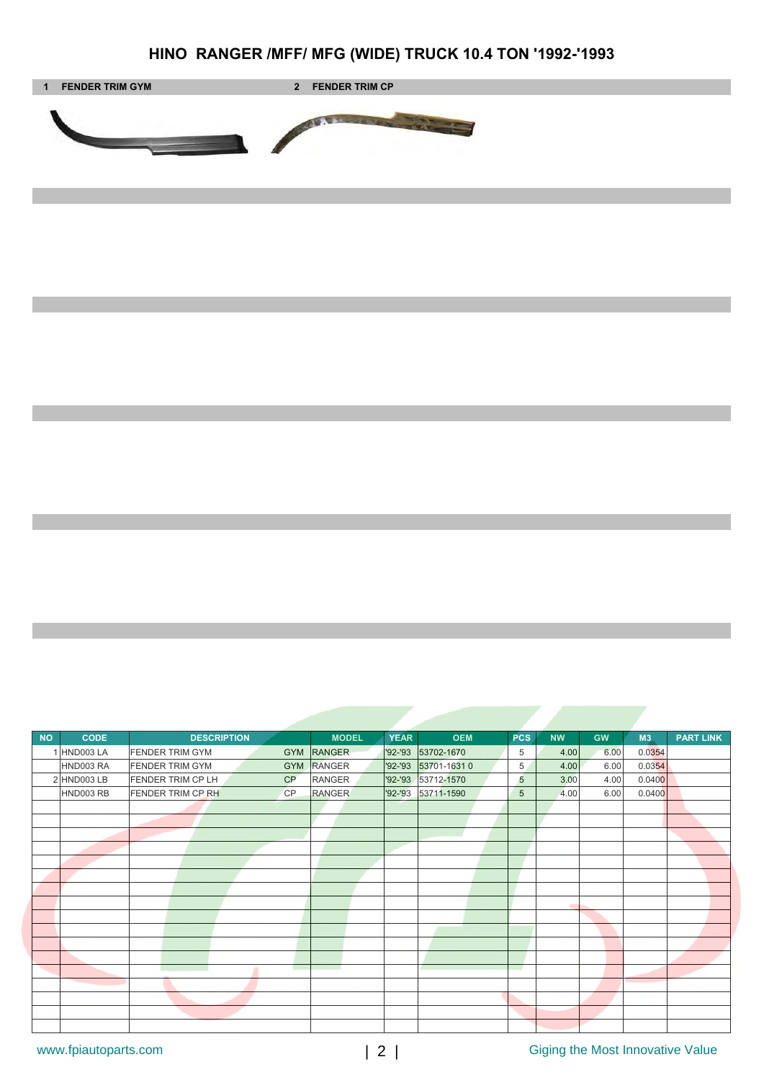# **HINO RANGER /MFF/ MFG (WIDE) TRUCK 10.4 TON '1992-'1993**



| <b>NO</b> | <b>CODE</b> | <b>DESCRIPTION</b>                    | <b>MODEL</b>          | <b>OEM</b><br><b>YEAR</b> | <b>PCS</b> | <b>GW</b><br><b>NW</b> | M3     | <b>PART LINK</b> |
|-----------|-------------|---------------------------------------|-----------------------|---------------------------|------------|------------------------|--------|------------------|
|           | 1 HND003 LA | <b>FENDER TRIM GYM</b><br><b>GYM</b>  | <b>RANGER</b>         | '92-'93<br>53702-1670     | 5          | 6.00<br>4.00           | 0.0354 |                  |
|           | HND003 RA   | <b>FENDER TRIM GYM</b><br><b>GYM</b>  | RANGER<br>$'92 - '93$ | 53701-16310               | 5          | 4.00<br>6.00           | 0.0354 |                  |
|           | 2 HND003 LB | <b>FENDER TRIM CP LH</b><br>CP        | <b>RANGER</b>         | '92-'93 53712-1570        | 5          | 3.00<br>4.00           | 0.0400 |                  |
|           | HND003 RB   | <b>FENDER TRIM CP RH</b><br><b>CP</b> | <b>RANGER</b>         | '92-'93<br>53711-1590     | 5          | 6.00<br>4.00           | 0.0400 |                  |
|           |             |                                       |                       |                           |            |                        |        |                  |
|           |             |                                       |                       |                           |            |                        |        |                  |
|           |             |                                       |                       |                           |            |                        |        |                  |
|           |             |                                       |                       |                           |            |                        |        |                  |
|           |             |                                       |                       |                           |            |                        |        |                  |
|           |             |                                       |                       |                           |            |                        |        |                  |
|           |             |                                       |                       |                           |            |                        |        |                  |
|           |             |                                       |                       |                           |            |                        |        |                  |
|           |             |                                       |                       |                           |            |                        |        |                  |
|           |             |                                       |                       |                           |            |                        |        |                  |
|           |             |                                       |                       |                           |            |                        |        |                  |
|           |             |                                       |                       |                           |            |                        |        |                  |
|           |             |                                       |                       |                           | a sa       |                        |        |                  |
|           |             |                                       |                       |                           |            |                        |        |                  |
|           |             |                                       |                       |                           |            |                        |        |                  |
|           |             |                                       |                       |                           |            |                        |        |                  |
|           |             |                                       |                       |                           |            |                        |        |                  |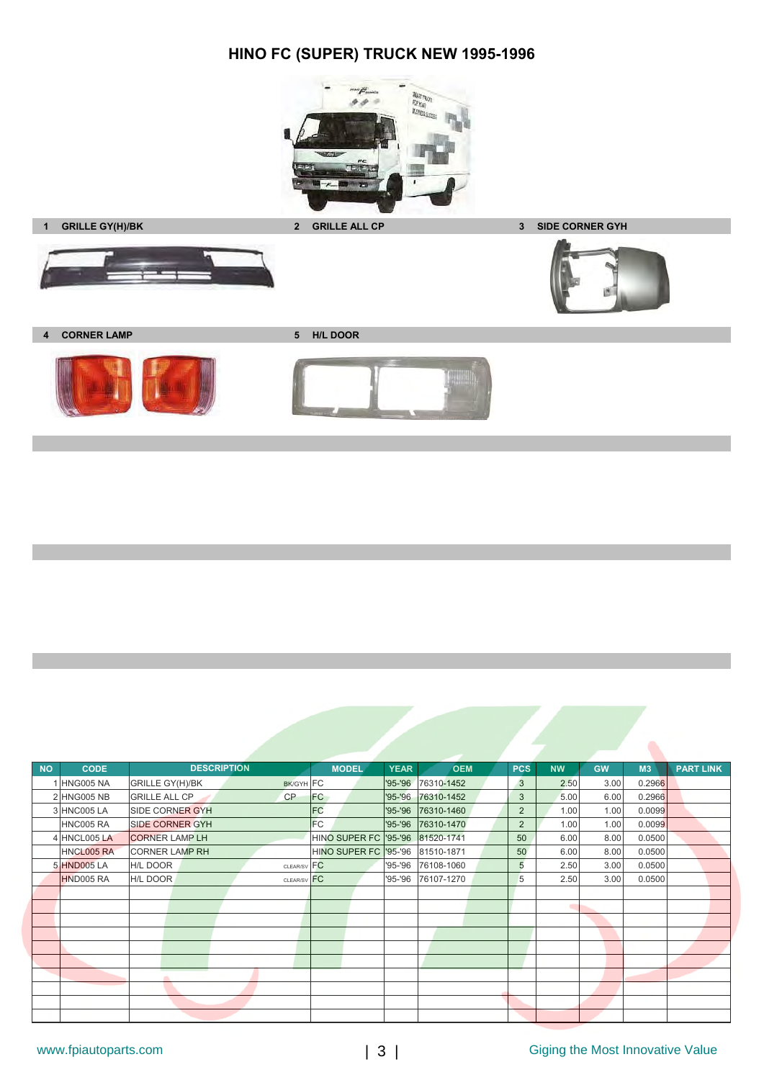# **HINO FC (SUPER) TRUCK NEW 1995-1996**



**1 GRILLE GY(H)/BK 2 GRILLE ALL CP 3 SIDE CORNER GYH**



**4 CORNER LAMP 5 H/L DOOR**





| <b>NO</b> | <b>CODE</b>       | <b>DESCRIPTION</b>                  | <b>MODEL</b>                     | <b>YEAR</b> | <b>OEM</b>         | <b>PCS</b>     | <b>NW</b> | <b>GW</b> | M3     | <b>PART LINK</b> |
|-----------|-------------------|-------------------------------------|----------------------------------|-------------|--------------------|----------------|-----------|-----------|--------|------------------|
|           | HNG005 NA         | <b>GRILLE GY(H)/BK</b><br>BK/GYH FC |                                  | '95-'96     | 76310-1452         | 3              | 2.50      | 3.00      | 0.2966 |                  |
|           | 2 HNG005 NB       | <b>GRILLE ALL CP</b><br>CP          | <b>FC</b>                        | $'95 - '96$ | 76310-1452         | 3              | 5.00      | 6.00      | 0.2966 |                  |
|           | 3 HNC005 LA       | <b>SIDE CORNER GYH</b>              | <b>FC</b>                        |             | '95-'96 76310-1460 | $\overline{2}$ | 1.00      | 1.00      | 0.0099 |                  |
|           | HNC005 RA         | <b>SIDE CORNER GYH</b>              | <b>FC</b>                        |             | '95-'96 76310-1470 | $\overline{2}$ | 1.00      | 1.00      | 0.0099 |                  |
|           | 4 HNCL005 LA      | <b>CORNER LAMP LH</b>               | HINO SUPER FC '95-'96 81520-1741 |             |                    | 50             | 6.00      | 8.00      | 0.0500 |                  |
|           | <b>HNCL005 RA</b> | <b>CORNER LAMP RH</b>               | HINO SUPER FC '95-'96 81510-1871 |             |                    | 50             | 6.00      | 8.00      | 0.0500 |                  |
|           | 5 HND005 LA       | <b>H/L DOOR</b><br>CLEAR/SV FC      |                                  | '95-'96     | 76108-1060         | 5              | 2.50      | 3.00      | 0.0500 |                  |
|           | HND005 RA         | H/L DOOR<br>CLEAR/SV FC             |                                  | '95-'96     | 76107-1270         | 5              | 2.50      | 3.00      | 0.0500 |                  |
|           |                   |                                     |                                  |             |                    |                |           |           |        |                  |
|           |                   |                                     |                                  |             |                    |                |           |           |        |                  |
|           |                   |                                     |                                  |             |                    |                |           |           |        |                  |
|           |                   |                                     |                                  |             |                    |                |           |           |        |                  |
|           |                   |                                     |                                  |             |                    |                |           |           |        |                  |
|           |                   |                                     |                                  |             |                    |                |           |           |        |                  |
|           |                   |                                     |                                  |             |                    |                |           |           |        |                  |
|           |                   |                                     |                                  |             |                    |                |           |           |        |                  |
|           |                   |                                     |                                  |             |                    |                |           |           |        |                  |
|           |                   |                                     |                                  |             |                    |                |           |           |        |                  |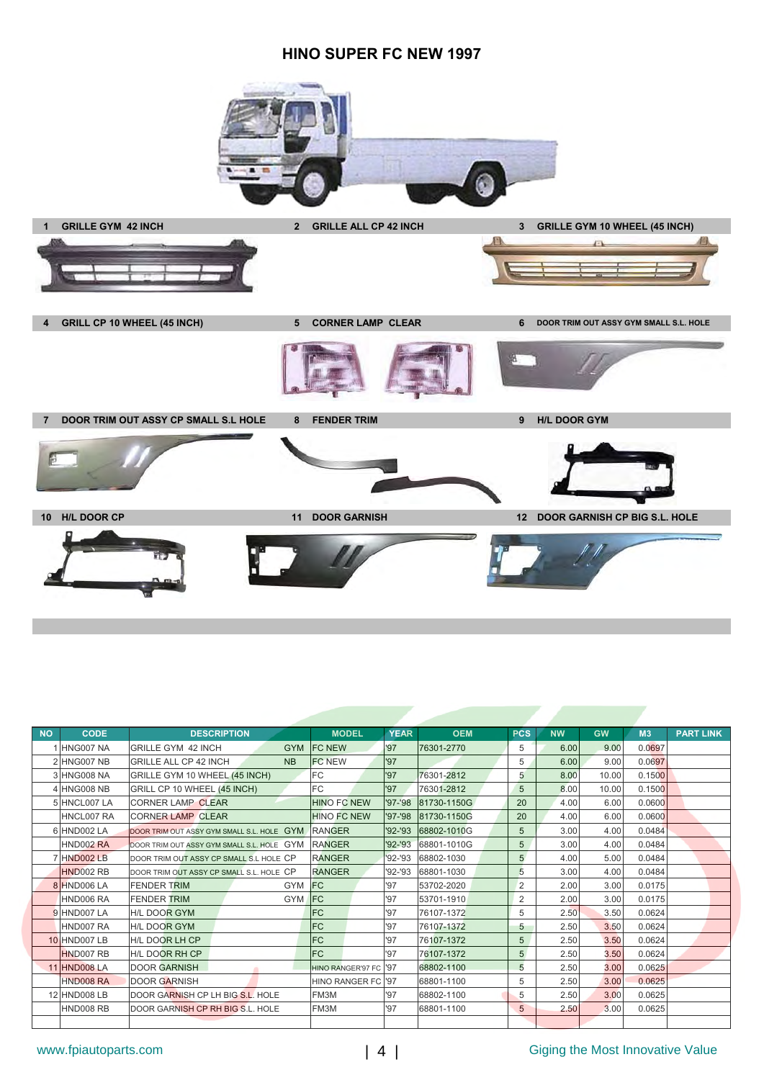#### **HINO SUPER FC NEW 1997**



**7 DOOR TRIM OUT ASSY CP SMALL S.L HOLE 8 FENDER TRIM 9 H/L DOOR GYM**



**10 H/L DOOR CP 11 DOOR GARNISH 12 DOOR GARNISH CP BIG S.L. HOLE**

| <b>NO</b> | <b>CODE</b>         | <b>DESCRIPTION</b>                         | <b>MODEL</b>             | <b>YEAR</b> | <b>OEM</b>  | <b>PCS</b>     | <b>NW</b> | <b>GW</b> | M3     | <b>PART LINK</b> |
|-----------|---------------------|--------------------------------------------|--------------------------|-------------|-------------|----------------|-----------|-----------|--------|------------------|
|           | 1 HNG007 NA         | <b>GRILLE GYM 42 INCH</b>                  | <b>GYM FC NEW</b>        | '97         | 76301-2770  | 5              | 6.00      | 9.00      | 0.0697 |                  |
|           | 2 HNG007 NB         | <b>GRILLE ALL CP 42 INCH</b><br><b>NB</b>  | <b>FC NEW</b>            | '97         |             | 5              | 6.00      | 9.00      | 0.0697 |                  |
|           | 3 HNG008 NA         | GRILLE GYM 10 WHEEL (45 INCH)              | FC.                      | '97         | 76301-2812  | 5              | 8.00      | 10.00     | 0.1500 |                  |
|           | 4 HNG008 NB         | GRILL CP 10 WHEEL (45 INCH)                | <b>FC</b>                | '97         | 76301-2812  | 5              | 8.00      | 10.00     | 0.1500 |                  |
|           | 5 HNCL007 LA        | <b>CORNER LAMP CLEAR</b>                   | <b>HINO FC NEW</b>       | '97-'98     | 81730-1150G | 20             | 4.00      | 6.00      | 0.0600 |                  |
|           | HNCL007 RA          | <b>CORNER LAMP CLEAR</b>                   | <b>HINO FC NEW</b>       | '97-'98     | 81730-1150G | 20             | 4.00      | 6.00      | 0.0600 |                  |
|           | 6 HND002 LA         | DOOR TRIM OUT ASSY GYM SMALL S.L. HOLE GYM | <b>RANGER</b>            | $'92 - '93$ | 68802-1010G | 5              | 3.00      | 4.00      | 0.0484 |                  |
|           | HND002 RA           | DOOR TRIM OUT ASSY GYM SMALL S.L. HOLE GYM | RANGER                   | $'92 - '93$ | 68801-1010G | 5              | 3.00      | 4.00      | 0.0484 |                  |
|           | 7 HND002 LB         | DOOR TRIM OUT ASSY CP SMALL S.L HOLE CP    | <b>RANGER</b>            | $'92 - '93$ | 68802-1030  | 5              | 4.00      | 5.00      | 0.0484 |                  |
|           | HND002 RB           | DOOR TRIM OUT ASSY CP SMALL S.L. HOLE CP   | <b>RANGER</b>            | '92-'93     | 68801-1030  | 5              | 3.00      | 4.00      | 0.0484 |                  |
|           | 8 HND006 LA         | GYM FC<br><b>FENDER TRIM</b>               |                          | '97         | 53702-2020  | 2              | 2.00      | 3.00      | 0.0175 |                  |
|           | HND006 RA           | <b>GYM</b><br><b>FENDER TRIM</b>           | <b>IFC</b>               | '97         | 53701-1910  | 2              | 2.00      | 3.00      | 0.0175 |                  |
|           | 9 HND007 LA         | <b>H/L DOOR GYM</b>                        | <b>FC</b>                | '97         | 76107-1372  | 5              | 2.50      | 3.50      | 0.0624 |                  |
|           | HND007 RA           | <b>H/L DOOR GYM</b>                        | <b>FC</b>                | '97         | 76107-1372  | 5              | 2.50      | 3.50      | 0.0624 |                  |
|           | <b>10 HND007 LB</b> | H/L DOOR LH CP                             | <b>FC</b>                | '97         | 76107-1372  | 5              | 2.50      | 3.50      | 0.0624 |                  |
|           | HND007 RB           | <b>H/L DOOR RH CP</b>                      | <b>FC</b>                | '97         | 76107-1372  | 5              | 2.50      | 3.50      | 0.0624 |                  |
|           | <b>11 HND008 LA</b> | <b>DOOR GARNISH</b>                        | <b>HINO RANGER'97 FC</b> | '97         | 68802-1100  | $\overline{5}$ | 2.50      | 3.00      | 0.0625 |                  |
|           | HND008 RA           | <b>DOOR GARNISH</b>                        | <b>HINO RANGER FC</b>    | '97         | 68801-1100  | 5              | 2.50      | 3.00      | 0.0625 |                  |
|           | 12 HND008 LB        | DOOR GARNISH CP LH BIG S.L. HOLE           | FM3M                     | '97         | 68802-1100  | 5              | 2.50      | 3.00      | 0.0625 |                  |
|           | HND008 RB           | DOOR GARNISH CP RH BIG S.L. HOLE           | FM3M                     | '97         | 68801-1100  | 5              | 2.50      | 3.00      | 0.0625 |                  |
|           |                     |                                            |                          |             |             |                |           |           |        |                  |

### www.fpiautoparts.com  $\begin{vmatrix} 4 \end{vmatrix}$  Giging the Most Innovative Value